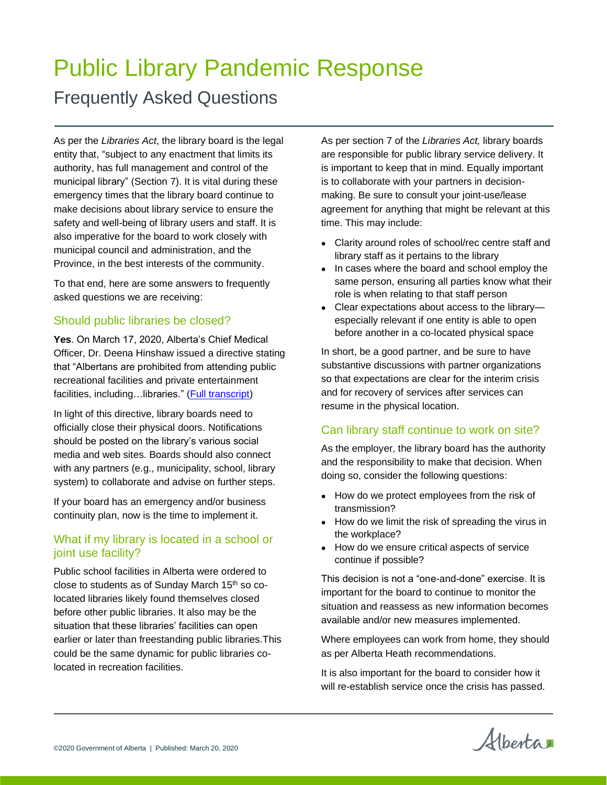# Public Library Pandemic Response

# Frequently Asked Questions

As per the *Libraries Act*, the library board is the legal entity that, "subject to any enactment that limits its authority, has full management and control of the municipal library" (Section 7). It is vital during these emergency times that the library board continue to make decisions about library service to ensure the safety and well-being of library users and staff. It is also imperative for the board to work closely with municipal council and administration, and the Province, in the best interests of the community.

To that end, here are some answers to frequently asked questions we are receiving:

# Should public libraries be closed?

**Yes**. On March 17, 2020, Alberta's Chief Medical Officer, Dr. Deena Hinshaw issued a directive stating that "Albertans are prohibited from attending public recreational facilities and private entertainment facilities, including...libraries." [\(Full transcript\)](https://www.alberta.ca/release.cfm?xID=69830284041BB-FA70-03ED-82D4516CFE1CEA01)

In light of this directive, library boards need to officially close their physical doors. Notifications should be posted on the library's various social media and web sites. Boards should also connect with any partners (e.g., municipality, school, library system) to collaborate and advise on further steps.

If your board has an emergency and/or business continuity plan, now is the time to implement it.

# What if my library is located in a school or joint use facility?

Public school facilities in Alberta were ordered to close to students as of Sunday March 15<sup>th</sup> so colocated libraries likely found themselves closed before other public libraries. It also may be the situation that these libraries' facilities can open earlier or later than freestanding public libraries.This could be the same dynamic for public libraries colocated in recreation facilities.

As per section 7 of the *Libraries Act,* library boards are responsible for public library service delivery. It is important to keep that in mind. Equally important is to collaborate with your partners in decisionmaking. Be sure to consult your joint-use/lease agreement for anything that might be relevant at this time. This may include:

- Clarity around roles of school/rec centre staff and library staff as it pertains to the library
- In cases where the board and school employ the same person, ensuring all parties know what their role is when relating to that staff person
- Clear expectations about access to the library especially relevant if one entity is able to open before another in a co-located physical space

In short, be a good partner, and be sure to have substantive discussions with partner organizations so that expectations are clear for the interim crisis and for recovery of services after services can resume in the physical location.

# Can library staff continue to work on site?

As the employer, the library board has the authority and the responsibility to make that decision. When doing so, consider the following questions:

- How do we protect employees from the risk of transmission?
- How do we limit the risk of spreading the virus in the workplace?
- How do we ensure critical aspects of service continue if possible?

This decision is not a "one-and-done" exercise. It is important for the board to continue to monitor the situation and reassess as new information becomes available and/or new measures implemented.

Where employees can work from home, they should as per Alberta Heath recommendations.

It is also important for the board to consider how it will re-establish service once the crisis has passed.

Albertan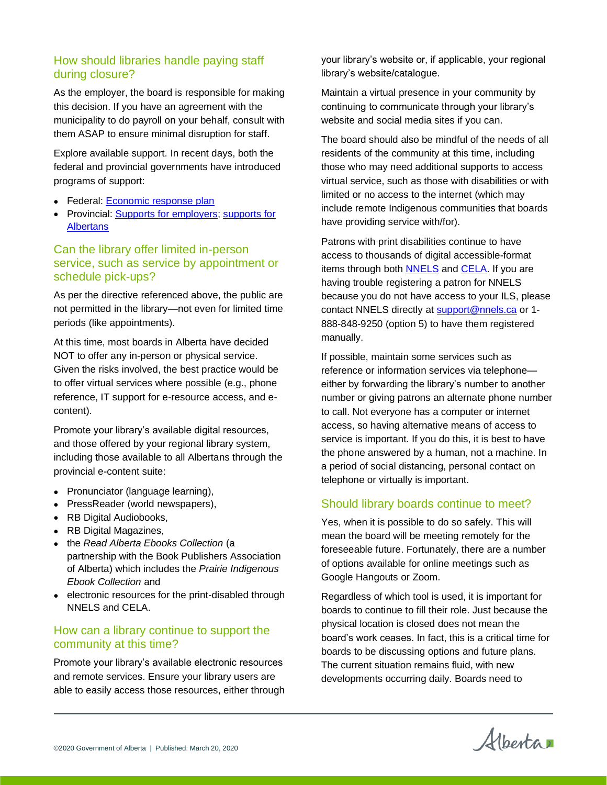# How should libraries handle paying staff during closure?

As the employer, the board is responsible for making this decision. If you have an agreement with the municipality to do payroll on your behalf, consult with them ASAP to ensure minimal disruption for staff.

Explore available support. In recent days, both the federal and provincial governments have introduced programs of support:

- Federal: [Economic response plan](https://www.canada.ca/en/department-finance/economic-response-plan.html)
- Provincial: [Supports for employers;](https://www.alberta.ca/covid-19-support-for-employers.aspx) [supports for](https://www.alberta.ca/covid-19-supports-for-albertans.aspx)  **[Albertans](https://www.alberta.ca/covid-19-supports-for-albertans.aspx)**

## Can the library offer limited in-person service, such as service by appointment or schedule pick-ups?

As per the directive referenced above, the public are not permitted in the library—not even for limited time periods (like appointments).

At this time, most boards in Alberta have decided NOT to offer any in-person or physical service. Given the risks involved, the best practice would be to offer virtual services where possible (e.g., phone reference, IT support for e-resource access, and econtent).

Promote your library's available digital resources, and those offered by your regional library system, including those available to all Albertans through the provincial e-content suite:

- Pronunciator (language learning),
- PressReader (world newspapers),
- RB Digital Audiobooks,
- RB Digital Magazines,
- the *Read Alberta Ebooks Collection* (a partnership with the Book Publishers Association of Alberta) which includes the *Prairie Indigenous Ebook Collection* and
- electronic resources for the print-disabled through NNELS and CELA.

#### How can a library continue to support the community at this time?

Promote your library's available electronic resources and remote services. Ensure your library users are able to easily access those resources, either through your library's website or, if applicable, your regional library's website/catalogue.

Maintain a virtual presence in your community by continuing to communicate through your library's website and social media sites if you can.

The board should also be mindful of the needs of all residents of the community at this time, including those who may need additional supports to access virtual service, such as those with disabilities or with limited or no access to the internet (which may include remote Indigenous communities that boards have providing service with/for).

Patrons with print disabilities continue to have access to thousands of digital accessible-format items through both [NNELS](https://nnels.ca/) and [CELA.](https://celalibrary.ca/) If you are having trouble registering a patron for NNELS because you do not have access to your ILS, please contact NNELS directly at [support@nnels.ca](mailto:support@nnels.ca) or 1-888-848-9250 (option 5) to have them registered manually.

If possible, maintain some services such as reference or information services via telephone either by forwarding the library's number to another number or giving patrons an alternate phone number to call. Not everyone has a computer or internet access, so having alternative means of access to service is important. If you do this, it is best to have the phone answered by a human, not a machine. In a period of social distancing, personal contact on telephone or virtually is important.

#### Should library boards continue to meet?

Yes, when it is possible to do so safely. This will mean the board will be meeting remotely for the foreseeable future. Fortunately, there are a number of options available for online meetings such as Google Hangouts or Zoom.

Regardless of which tool is used, it is important for boards to continue to fill their role. Just because the physical location is closed does not mean the board's work ceases. In fact, this is a critical time for boards to be discussing options and future plans. The current situation remains fluid, with new developments occurring daily. Boards need to

Alberta